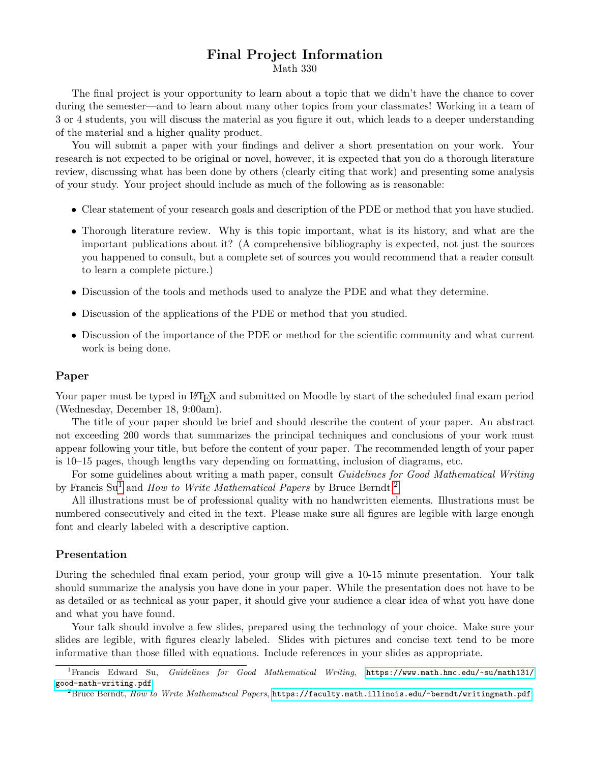## Final Project Information

Math 330

The final project is your opportunity to learn about a topic that we didn't have the chance to cover during the semester—and to learn about many other topics from your classmates! Working in a team of 3 or 4 students, you will discuss the material as you figure it out, which leads to a deeper understanding of the material and a higher quality product.

You will submit a paper with your findings and deliver a short presentation on your work. Your research is not expected to be original or novel, however, it is expected that you do a thorough literature review, discussing what has been done by others (clearly citing that work) and presenting some analysis of your study. Your project should include as much of the following as is reasonable:

- Clear statement of your research goals and description of the PDE or method that you have studied.
- Thorough literature review. Why is this topic important, what is its history, and what are the important publications about it? (A comprehensive bibliography is expected, not just the sources you happened to consult, but a complete set of sources you would recommend that a reader consult to learn a complete picture.)
- Discussion of the tools and methods used to analyze the PDE and what they determine.
- Discussion of the applications of the PDE or method that you studied.
- Discussion of the importance of the PDE or method for the scientific community and what current work is being done.

### Paper

Your paper must be typed in LAT<sub>EX</sub> and submitted on Moodle by start of the scheduled final exam period (Wednesday, December 18, 9:00am).

The title of your paper should be brief and should describe the content of your paper. An abstract not exceeding 200 words that summarizes the principal techniques and conclusions of your work must appear following your title, but before the content of your paper. The recommended length of your paper is 10–15 pages, though lengths vary depending on formatting, inclusion of diagrams, etc.

For some guidelines about writing a math paper, consult Guidelines for Good Mathematical Writing by Francis  $Su^1$  $Su^1$  and *How to Write Mathematical Papers* by Bruce Berndt.<sup>[2](#page-0-1)</sup>

All illustrations must be of professional quality with no handwritten elements. Illustrations must be numbered consecutively and cited in the text. Please make sure all figures are legible with large enough font and clearly labeled with a descriptive caption.

#### Presentation

During the scheduled final exam period, your group will give a 10-15 minute presentation. Your talk should summarize the analysis you have done in your paper. While the presentation does not have to be as detailed or as technical as your paper, it should give your audience a clear idea of what you have done and what you have found.

Your talk should involve a few slides, prepared using the technology of your choice. Make sure your slides are legible, with figures clearly labeled. Slides with pictures and concise text tend to be more informative than those filled with equations. Include references in your slides as appropriate.

<span id="page-0-0"></span> ${}^{1}$ Francis Edward Su, Guidelines for Good Mathematical Writing, [https://www.math.hmc.edu/~su/math131/](https://www.math.hmc.edu/~su/math131/good-math-writing.pdf) [good-math-writing.pdf](https://www.math.hmc.edu/~su/math131/good-math-writing.pdf)

<span id="page-0-1"></span> ${}^{2}$ Bruce Berndt, How to Write Mathematical Papers, <https://faculty.math.illinois.edu/~berndt/writingmath.pdf>.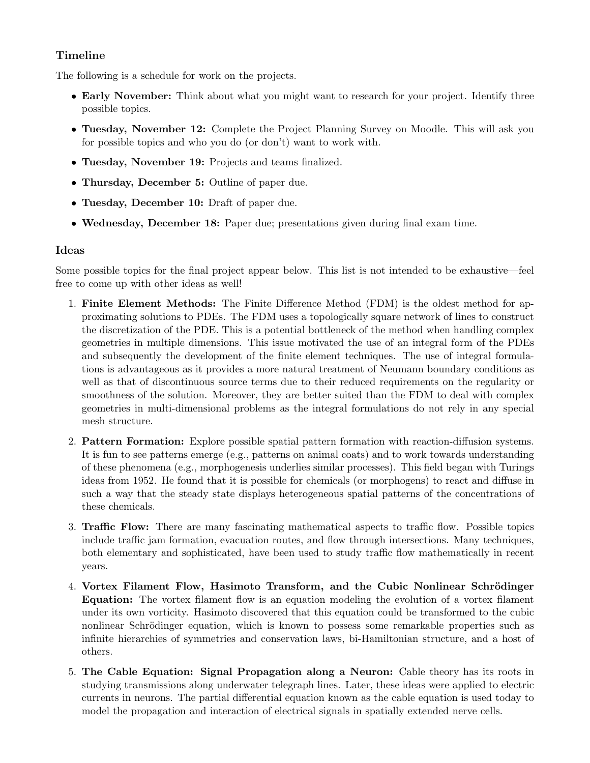# Timeline

The following is a schedule for work on the projects.

- Early November: Think about what you might want to research for your project. Identify three possible topics.
- Tuesday, November 12: Complete the Project Planning Survey on Moodle. This will ask you for possible topics and who you do (or don't) want to work with.
- Tuesday, November 19: Projects and teams finalized.
- Thursday, December 5: Outline of paper due.
- Tuesday, December 10: Draft of paper due.
- Wednesday, December 18: Paper due; presentations given during final exam time.

### Ideas

Some possible topics for the final project appear below. This list is not intended to be exhaustive—feel free to come up with other ideas as well!

- 1. Finite Element Methods: The Finite Difference Method (FDM) is the oldest method for approximating solutions to PDEs. The FDM uses a topologically square network of lines to construct the discretization of the PDE. This is a potential bottleneck of the method when handling complex geometries in multiple dimensions. This issue motivated the use of an integral form of the PDEs and subsequently the development of the finite element techniques. The use of integral formulations is advantageous as it provides a more natural treatment of Neumann boundary conditions as well as that of discontinuous source terms due to their reduced requirements on the regularity or smoothness of the solution. Moreover, they are better suited than the FDM to deal with complex geometries in multi-dimensional problems as the integral formulations do not rely in any special mesh structure.
- 2. Pattern Formation: Explore possible spatial pattern formation with reaction-diffusion systems. It is fun to see patterns emerge (e.g., patterns on animal coats) and to work towards understanding of these phenomena (e.g., morphogenesis underlies similar processes). This field began with Turings ideas from 1952. He found that it is possible for chemicals (or morphogens) to react and diffuse in such a way that the steady state displays heterogeneous spatial patterns of the concentrations of these chemicals.
- 3. Traffic Flow: There are many fascinating mathematical aspects to traffic flow. Possible topics include traffic jam formation, evacuation routes, and flow through intersections. Many techniques, both elementary and sophisticated, have been used to study traffic flow mathematically in recent years.
- 4. Vortex Filament Flow, Hasimoto Transform, and the Cubic Nonlinear Schrödinger Equation: The vortex filament flow is an equation modeling the evolution of a vortex filament under its own vorticity. Hasimoto discovered that this equation could be transformed to the cubic nonlinear Schrödinger equation, which is known to possess some remarkable properties such as infinite hierarchies of symmetries and conservation laws, bi-Hamiltonian structure, and a host of others.
- 5. The Cable Equation: Signal Propagation along a Neuron: Cable theory has its roots in studying transmissions along underwater telegraph lines. Later, these ideas were applied to electric currents in neurons. The partial differential equation known as the cable equation is used today to model the propagation and interaction of electrical signals in spatially extended nerve cells.